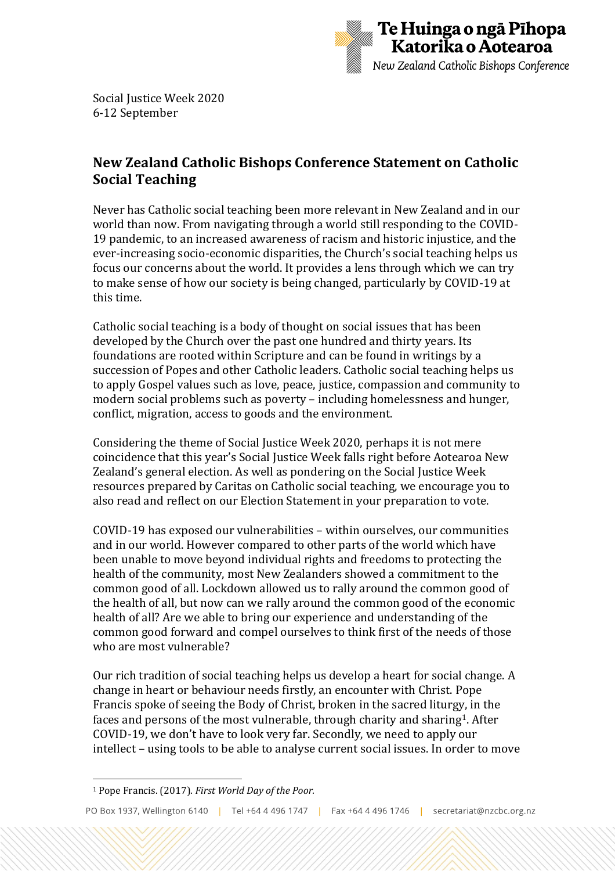

Social Justice Week 2020 6-12 September

## **New Zealand Catholic Bishops Conference Statement on Catholic Social Teaching**

Never has Catholic social teaching been more relevant in New Zealand and in our world than now. From navigating through a world still responding to the COVID-19 pandemic, to an increased awareness of racism and historic injustice, and the ever-increasing socio-economic disparities, the Church's social teaching helps us focus our concerns about the world. It provides a lens through which we can try to make sense of how our society is being changed, particularly by COVID-19 at this time.

Catholic social teaching is a body of thought on social issues that has been developed by the Church over the past one hundred and thirty years. Its foundations are rooted within Scripture and can be found in writings by a succession of Popes and other Catholic leaders. Catholic social teaching helps us to apply Gospel values such as love, peace, justice, compassion and community to modern social problems such as poverty – including homelessness and hunger, conflict, migration, access to goods and the environment.

Considering the theme of Social Justice Week 2020, perhaps it is not mere coincidence that this year's Social Justice Week falls right before Aotearoa New Zealand's general election. As well as pondering on the Social Justice Week resources prepared by Caritas on Catholic social teaching, we encourage you to also read and reflect on our Election Statement in your preparation to vote.

COVID-19 has exposed our vulnerabilities – within ourselves, our communities and in our world. However compared to other parts of the world which have been unable to move beyond individual rights and freedoms to protecting the health of the community, most New Zealanders showed a commitment to the common good of all. Lockdown allowed us to rally around the common good of the health of all, but now can we rally around the common good of the economic health of all? Are we able to bring our experience and understanding of the common good forward and compel ourselves to think first of the needs of those who are most vulnerable?

Our rich tradition of social teaching helps us develop a heart for social change. A change in heart or behaviour needs firstly, an encounter with Christ. Pope Francis spoke of seeing the Body of Christ, broken in the sacred liturgy, in the faces and persons of the most vulnerable, through charity and sharing1. After COVID-19, we don't have to look very far. Secondly, we need to apply our intellect – using tools to be able to analyse current social issues. In order to move

<sup>1</sup> Pope Francis. (2017). *First World Day of the Poor.*